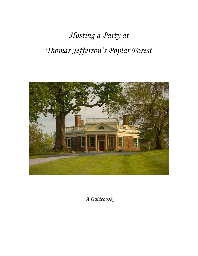# *Hosting a Party at Thomas Jefferson's Poplar Forest*



*A Guidebook*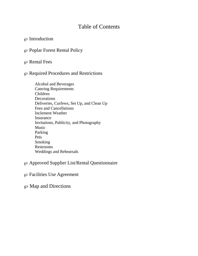# Table of Contents

# $\wp$  Introduction

- $\wp$  Poplar Forest Rental Policy
- $\wp$  Rental Fees

### $\wp$  Required Procedures and Restrictions

Alcohol and Beverages Catering Requirements Children **Decorations** Deliveries, Curfews, Set Up, and Clean Up Fees and Cancellations Inclement Weather Insurance Invitations, Publicity, and Photography Music Parking Pets Smoking Restrooms Weddings and Rehearsals

# $\wp$  Approved Supplier List/Rental Questionnaire

- $\wp$  Facilities Use Agreement
- $\wp$  Map and Directions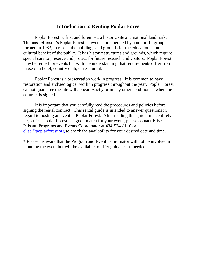### **Introduction to Renting Poplar Forest**

Poplar Forest is, first and foremost, a historic site and national landmark. Thomas Jefferson's Poplar Forest is owned and operated by a nonprofit group formed in 1983, to rescue the buildings and grounds for the educational and cultural benefit of the public. It has historic structures and grounds, which require special care to preserve and protect for future research and visitors. Poplar Forest may be rented for events but with the understanding that requirements differ from those of a hotel, country club, or restaurant.

Poplar Forest is a preservation work in progress. It is common to have restoration and archaeological work in progress throughout the year. Poplar Forest cannot guarantee the site will appear exactly or in any other condition as when the contract is signed.

It is important that you carefully read the procedures and policies before signing the rental contract. This rental guide is intended to answer questions in regard to hosting an event at Poplar Forest. After reading this guide in its entirety, if you feel Poplar Forest is a good match for your event, please contact Elise Paisant, Programs and Events Coordinator at 434-534-8110 or [elise@poplarforest.org](mailto:elise@poplarforest.org) to check the availability for your desired date and time.

\* Please be aware that the Program and Event Coordinator will not be involved in planning the event but will be available to offer guidance as needed.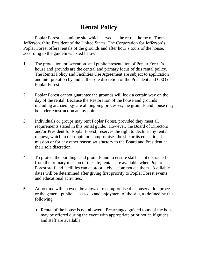# **Rental Policy**

Poplar Forest is a unique site which served as the retreat home of Thomas Jefferson, third President of the United States. The Corporation for Jefferson's Poplar Forest offers rentals of the grounds and after hour's tours of the house, according to the guidelines listed below.

- 1. The protection, preservation, and public presentation of Poplar Forest's house and grounds are the central and primary focus of this rental policy. The Rental Policy and Facilities Use Agreement are subject to application and interpretation by and at the sole discretion of the President and CEO of Poplar Forest.
- 2. Poplar Forest cannot guarantee the grounds will look a certain way on the day of the rental. Because the Restoration of the house and grounds including archaeology are all ongoing processes, the grounds and house may be under construction at any point.
- 3. Individuals or groups may rent Poplar Forest, provided they meet all requirements stated in this rental guide. However, the Board of Directors and/or President for Poplar Forest, reserves the right to decline any rental request, which in their opinion compromises the site or its educational mission or for any other reason satisfactory to the Board and President at their sole discretion.
- 4. To protect the buildings and grounds and to ensure staff is not distracted from the primary mission of the site, rentals are available when Poplar Forest staff and facilities can appropriately accommodate them. Available dates will be determined after giving first priority to Poplar Forest events and educational activities.
- 5. At no time will an event be allowed to compromise the conservation process or the general public's access to and enjoyment of the site, as defined by the following:
	- Rental of the house is not allowed. Prearranged guided tours of the house may be offered during the event with appropriate prior notice if guides and staff are available.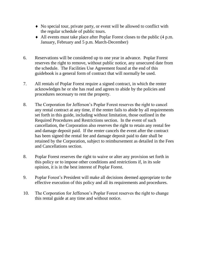- No special tour, private party, or event will be allowed to conflict with the regular schedule of public tours.
- All events must take place after Poplar Forest closes to the public (4 p.m. January, February and 5 p.m. March-December)
- 6. Reservations will be considered up to one year in advance. Poplar Forest reserves the right to remove, without public notice, any unsecured date from the schedule. The Facilities Use Agreement found at the end of this guidebook is a general form of contract that will normally be used.
- 7. All rentals of Poplar Forest require a signed contract, in which the renter acknowledges he or she has read and agrees to abide by the policies and procedures necessary to rent the property.
- 8. The Corporation for Jefferson's Poplar Forest reserves the right to cancel any rental contract at any time, if the renter fails to abide by all requirements set forth in this guide, including without limitation, those outlined in the Required Procedures and Restrictions section. In the event of such cancellation, the Corporation also reserves the right to retain any rental fee and damage deposit paid. If the renter cancels the event after the contract has been signed the rental fee and damage deposit paid to date shall be retained by the Corporation, subject to reimbursement as detailed in the Fees and Cancellations section.
- 8. Poplar Forest reserves the right to waive or alter any provision set forth in this policy or to impose other conditions and restrictions if, in its sole opinion, it is in the best interest of Poplar Forest.
- 9. Poplar Forest's President will make all decisions deemed appropriate to the effective execution of this policy and all its requirements and procedures.
- 10. The Corporation for Jefferson's Poplar Forest reserves the right to change this rental guide at any time and without notice.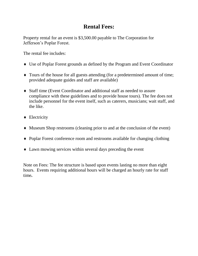# **Rental Fees:**

Property rental for an event is \$3,500.00 payable to The Corporation for Jefferson's Poplar Forest.

The rental fee includes:

- Use of Poplar Forest grounds as defined by the Program and Event Coordinator
- Tours of the house for all guests attending (for a predetermined amount of time; provided adequate guides and staff are available)
- Staff time (Event Coordinator and additional staff as needed to assure compliance with these guidelines and to provide house tours). The fee does not include personnel for the event itself, such as caterers, musicians; wait staff, and the like.
- Electricity
- Museum Shop restrooms (cleaning prior to and at the conclusion of the event)
- Poplar Forest conference room and restrooms available for changing clothing
- Lawn mowing services within several days preceding the event

Note on Fees: The fee structure is based upon events lasting no more than eight hours. Events requiring additional hours will be charged an hourly rate for staff time**.**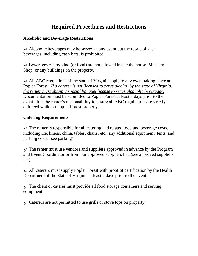# **Required Procedures and Restrictions**

### **Alcoholic and Beverage Restrictions**

 $\varnothing$  Alcoholic beverages may be served at any event but the resale of such beverages, including cash bars, is prohibited.

 $\wp$  Beverages of any kind (or food) are not allowed inside the house, Museum Shop, or any buildings on the property.

 $\varphi$  All ABC regulations of the state of Virginia apply to any event taking place at Poplar Forest. *If a caterer is not licensed to serve alcohol by the state of Virginia, the renter must obtain a special banquet license to serve alcoholic beverages.*  Documentation must be submitted to Poplar Forest at least 7 days prior to the event. It is the renter's responsibility to assure all ABC regulations are strictly enforced while on Poplar Forest property.

# **Catering Requirements**

 $\varphi$  The renter is responsible for all catering and related food and beverage costs, including ice, linens, china, tables, chairs, etc., any additional equipment, tents, and parking costs. (see parking)

 $\wp$  The renter must use vendors and suppliers approved in advance by the Program and Event Coordinator or from our approved suppliers list. (see approved suppliers list)

 $\wp$  All caterers must supply Poplar Forest with proof of certification by the Health Department of the State of Virginia at least 7 days prior to the event.

 $\wp$  The client or caterer must provide all food storage containers and serving equipment.

 $\wp$  Caterers are not permitted to use grills or stove tops on property.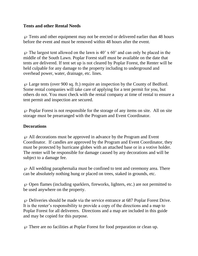# **Tents and other Rental Needs**

 $\wp$  Tents and other equipment may not be erected or delivered earlier than 48 hours before the event and must be removed within 48 hours after the event.

 $\wp$  The largest tent allowed on the lawn is 40' x 60' and can only be placed in the middle of the South Lawn. Poplar Forest staff must be available on the date that tents are delivered. If tent set up is not cleared by Poplar Forest, the Renter will be held culpable for any damage to the property including to underground and overhead power, water, drainage, etc. lines.

 $\wp$  Large tents (over 900 sq. ft.) require an inspection by the County of Bedford. Some rental companies will take care of applying for a tent permit for you, but others do not. You must check with the rental company at time of rental to ensure a tent permit and inspection are secured.

 $\wp$  Poplar Forest is not responsible for the storage of any items on site. All on site storage must be prearranged with the Program and Event Coordinator.

### **Decorations**

 $\varphi$  All decorations must be approved in advance by the Program and Event Coordinator. If candles are approved by the Program and Event Coordinator, they must be protected by hurricane globes with an attached base or in a votive holder. The renter will be responsible for damage caused by any decorations and will be subject to a damage fee.

 $\wp$  All wedding paraphernalia must be confined to tent and ceremony area. There can be absolutely nothing hung or placed on trees, staked in grounds, etc.

 $\wp$  Open flames (including sparklers, fireworks, lighters, etc.) are not permitted to be used anywhere on the property.

 $\wp$  Deliveries should be made via the service entrance at 687 Poplar Forest Drive. It is the renter's responsibility to provide a copy of the directions and a map to Poplar Forest for all deliverers. Directions and a map are included in this guide and may be copied for this purpose.

 $\wp$  There are no facilities at Poplar Forest for food preparation or clean up.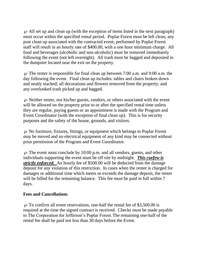$\wp$  All set up and clean up (with the exception of items listed in the next paragraph) must occur within the specified rental period. Poplar Forest must be left clean; any post clean up associated with the contracted event, performed by Poplar Forest staff will result in an hourly rate of \$400.00, with a one hour minimum charge. All food and beverages (alcoholic and non-alcoholic) must be removed immediately following the event (not left overnight). All trash must be bagged and deposited in the dumpster located near the exit on the property.

 $\varphi$  The renter is responsible for final clean up between 7:00 a.m. and 9:00 a.m. the day following the event. Final clean up includes: tables and chairs broken down and neatly stacked; all decorations and flowers removed from the property; and any overlooked trash picked up and bagged.

 $\wp$  Neither renter, nor his/her guests, vendors, or others associated with the event will be allowed on the property prior to or after the specified rental time unless they are regular, paying guests or an appointment is made with the Program and Event Coordinator (with the exception of final clean up). This is for security purposes and the safety of the house, grounds, and visitors.

 $\wp$  No furniture, fixtures, fittings, or equipment which belongs to Poplar Forest may be moved and no electrical equipment of any kind may be connected without prior permission of the Program and Event Coordinator.

 $\wp$  The event must conclude by 10:00 p.m. and all vendors, guests, and other individuals supporting the event must be off site by midnight. *This curfew is strictly enforced.* An hourly fee of \$500.00 will be deducted from the damage deposit for any violation of this restriction. In cases when the renter is charged for damages or additional time which meets or exceeds the damage deposit, the renter will be billed for the remaining balance. This fee must be paid in full within 7 days.

# **Fees and Cancellations**

 $\varnothing$  To confirm all event reservations, one-half the rental fee of \$3,500.00 is required at the time the signed contract is received. Checks must be made payable to The Corporation for Jefferson's Poplar Forest. The remaining one-half of the rental fee shall be paid not less than 30 days before the Event.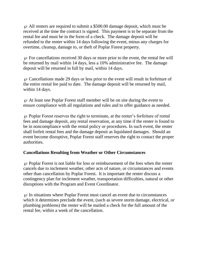$\wp$  All renters are required to submit a \$500.00 damage deposit, which must be received at the time the contract is signed. This payment is to be separate from the rental fee and must be in the form of a check. The damage deposit will be refunded to the renter within 14 days following the event, minus any charges for overtime, cleanup, damage to, or theft of Poplar Forest property.

 $\wp$  For cancellations received 30 days or more prior to the event, the rental fee will be returned by mail within 14 days, less a 10% administrative fee. The damage deposit will be returned in full by mail, within 14 days.

 $\wp$  Cancellations made 29 days or less prior to the event will result in forfeiture of the entire rental fee paid to date. The damage deposit will be returned by mail, within 14 days.

 $\wp$  At least one Poplar Forest staff member will be on site during the event to ensure compliance with all regulations and rules and to offer guidance as needed.

 $\wp$  Poplar Forest reserves the right to terminate, at the renter's forfeiture of rental fees and damage deposit, any rental reservation, at any time if the renter is found to be in noncompliance with the rental policy or procedures. In such event, the renter shall forfeit rental fees and the damage deposit as liquidated damages. Should an event become disruptive, Poplar Forest staff reserves the right to contact the proper authorities.

# **Cancellations Resulting from Weather or Other Circumstances**

 $\wp$  Poplar Forest is not liable for loss or reimbursement of the fees when the renter cancels due to inclement weather, other acts of nature, or circumstances and events other than cancellation by Poplar Forest. It is important the renter discuss a contingency plan for inclement weather, transportation difficulties, natural or other disruptions with the Program and Event Coordinator.

 $\wp$  In situations where Poplar Forest must cancel an event due to circumstances which it determines preclude the event, (such as severe storm damage, electrical, or plumbing problems) the renter will be mailed a check for the full amount of the rental fee, within a week of the cancellation.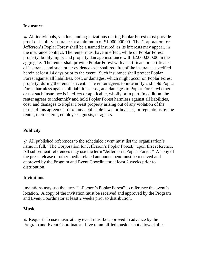#### **Insurance**

 $\wp$  All individuals, vendors, and organizations renting Poplar Forest must provide proof of liability insurance at a minimum of \$1,000,000.00. The Corporation for Jefferson's Poplar Forest shall be a named insured, as its interests may appear, in the insurance contract. The renter must have in effect, while on Poplar Forest property, bodily injury and property damage insurance with \$2,000,000.00 in the aggregate. The renter shall provide Poplar Forest with a certificate or certificates of insurance and such other evidence as it shall require, of the insurance specified herein at least 14 days prior to the event. Such insurance shall protect Poplar Forest against all liabilities, cost, or damages, which might occur on Poplar Forest property, during the renter's event. The renter agrees to indemnify and hold Poplar Forest harmless against all liabilities, cost, and damages to Poplar Forest whether or not such insurance is in effect or applicable, wholly or in part. In addition, the renter agrees to indemnify and hold Poplar Forest harmless against all liabilities, cost, and damages to Poplar Forest property arising out of any violation of the terms of this agreement or of any applicable laws, ordinances, or regulations by the renter, their caterer, employees, guests, or agents.

# **Publicity**

 $\wp$  All published references to the scheduled event must list the organization's name in full, "The Corporation for Jefferson's Poplar Forest," upon first reference. All subsequent references may use the term "Jefferson's Poplar Forest." A copy of the press release or other media related announcement must be received and approved by the Program and Event Coordinator at least 2 weeks prior to distribution.

#### **Invitations**

Invitations may use the term "Jefferson's Poplar Forest" to reference the event's location. A copy of the invitation must be received and approved by the Program and Event Coordinator at least 2 weeks prior to distribution.

#### **Music**

 $\wp$  Requests to use music at any event must be approved in advance by the Program and Event Coordinator. Live or amplified music is not allowed after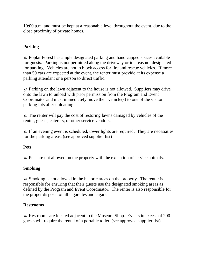10:00 p.m. and must be kept at a reasonable level throughout the event, due to the close proximity of private homes.

# **Parking**

 $\wp$  Poplar Forest has ample designated parking and handicapped spaces available for guests. Parking is not permitted along the driveway or in areas not designated for parking. Vehicles are not to block access for fire and rescue vehicles. If more than 50 cars are expected at the event, the renter must provide at its expense a parking attendant or a person to direct traffic.

 $\wp$  Parking on the lawn adjacent to the house is not allowed. Suppliers may drive onto the lawn to unload with prior permission from the Program and Event Coordinator and must immediately move their vehicle(s) to one of the visitor parking lots after unloading.

 $\wp$  The renter will pay the cost of restoring lawns damaged by vehicles of the renter, guests, caterers, or other service vendors.

 $\wp$  If an evening event is scheduled, tower lights are required. They are necessities for the parking areas. (see approved supplier list)

# **Pets**

 $\wp$  Pets are not allowed on the property with the exception of service animals.

# **Smoking**

 $\wp$  Smoking is not allowed in the historic areas on the property. The renter is responsible for ensuring that their guests use the designated smoking areas as defined by the Program and Event Coordinator. The renter is also responsible for the proper disposal of all cigarettes and cigars.

# **Restrooms**

 $\wp$  Restrooms are located adjacent to the Museum Shop. Events in excess of 200 guests will require the rental of a portable toilet. (see approved supplier list)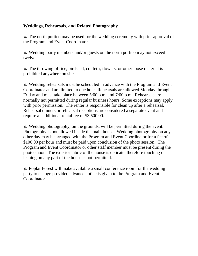# **Weddings, Rehearsals, and Related Photography**

 $\wp$  The north portico may be used for the wedding ceremony with prior approval of the Program and Event Coordinator.

 $\wp$  Wedding party members and/or guests on the north portico may not exceed twelve.

 $\wp$  The throwing of rice, birdseed, confetti, flowers, or other loose material is prohibited anywhere on site.

 $\wp$  Wedding rehearsals must be scheduled in advance with the Program and Event Coordinator and are limited to one hour. Rehearsals are allowed Monday through Friday and must take place between 5:00 p.m. and 7:00 p.m. Rehearsals are normally not permitted during regular business hours. Some exceptions may apply with prior permission. The renter is responsible for clean up after a rehearsal. Rehearsal dinners or rehearsal receptions are considered a separate event and require an additional rental fee of \$3,500.00.

 $\wp$  Wedding photography, on the grounds, will be permitted during the event. Photography is not allowed inside the main house. Wedding photography on any other day may be arranged with the Program and Event Coordinator for a fee of \$100.00 per hour and must be paid upon conclusion of the photo session. The Program and Event Coordinator or other staff member must be present during the photo shoot. The exterior fabric of the house is delicate, therefore touching or leaning on any part of the house is not permitted.

 $\wp$  Poplar Forest will make available a small conference room for the wedding party to change provided advance notice is given to the Program and Event Coordinator.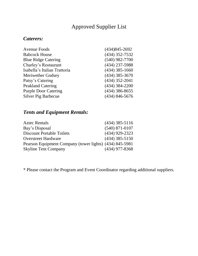# Approved Supplier List

# *Caterers:*

| $(434)845 - 2692$  |
|--------------------|
| $(434)$ 352-7532   |
| $(540)$ 982-7700   |
| $(434)$ 237-5988   |
| $(434)$ 385-1660   |
| $(434)$ 385-3670   |
| $(434)$ 352-2041   |
| $(434)$ 384-2200   |
| $(434)$ 386-8655   |
| $(434) 846 - 5676$ |
|                    |

# *Tents and Equipment Rentals:*

| <b>Aztec Rentals</b>                                    | $(434)$ 385-5116   |
|---------------------------------------------------------|--------------------|
| Bay's Disposal                                          | $(540) 871 - 0107$ |
| <b>Discount Portable Toilets</b>                        | $(434)$ 929-2323   |
| <b>Overstreet Hardware</b>                              | $(434)$ 385-5150   |
| Pearson Equipment Company (tower lights) (434) 845-5981 |                    |
| <b>Skyline Tent Company</b>                             | $(434)$ 977-8368   |

\* Please contact the Program and Event Coordinator regarding additional suppliers.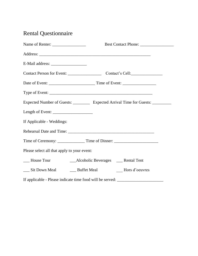# Rental Questionnaire

|                                             | Expected Number of Guests: ____________ Expected Arrival Time for Guests: __________ |
|---------------------------------------------|--------------------------------------------------------------------------------------|
| Length of Event: $\frac{1}{2}$              |                                                                                      |
| If Applicable - Weddings:                   |                                                                                      |
|                                             |                                                                                      |
|                                             |                                                                                      |
| Please select all that apply to your event: |                                                                                      |
|                                             |                                                                                      |
|                                             | __ Sit Down Meal _______ Buffet Meal _______ Hors d'oeuvres                          |
|                                             | If applicable - Please indicate time food will be served: ______________________     |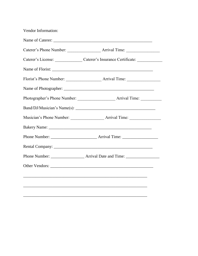| Vendor Information: |                                                     |  |
|---------------------|-----------------------------------------------------|--|
|                     |                                                     |  |
|                     |                                                     |  |
|                     | Caterer's License: Caterer's Insurance Certificate: |  |
|                     |                                                     |  |
|                     |                                                     |  |
|                     |                                                     |  |
|                     |                                                     |  |
|                     |                                                     |  |
|                     |                                                     |  |
|                     |                                                     |  |
|                     |                                                     |  |
|                     |                                                     |  |
|                     |                                                     |  |
|                     |                                                     |  |
|                     |                                                     |  |
|                     |                                                     |  |
|                     |                                                     |  |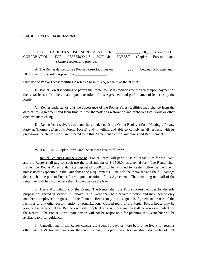#### **FACILITIES USE AGREEMENT**

THIS FACILITIES USE AGREEMENT, dated \_\_\_\_\_\_\_\_\_\_\_\_\_, 20\_, between THE CORPORATION FOR JEFFERSON'S POPLAR FOREST (Poplar Forest) and \_\_\_\_\_\_\_\_\_\_\_\_\_\_\_\_\_\_ (Renter) recites and provides:

A. The Renter desires to use Poplar Forest facilities on \_\_\_\_\_\_\_, 20\_\_\_, between 5:00 p.m. and  $10:00$  p.m. for the sole purpose of a

Such use of Poplar Forest facilities is referred to in this Agreement as the "Event."

B. Poplar Forest is willing to permit the Renter to use its facilities for the Event upon payment of the rental fee set forth herein and upon execution of this Agreement and performance of its terms by the Renter.

C. Renter understands that the appearance of the Poplar Forest facilities may change from the date of this Agreement and from time to time thereafter as restoration and archaeological work or other circumstances change.

D. Renter has received, read, and fully understands the Guide Book entitled "Hosting a Private Party at Thomas Jefferson's Poplar Forest" and is willing and able to comply in all respects with its provisions. Such provisions are referred to in this Agreement as the "Guidelines and Requirements".

WHEREFORE, Poplar Forest and the Renter agree as follows:

1. Rental Fee and Damage Deposit. Poplar Forest will permit use of its facilities for the Event and the Renter shall pay for such use the total amount of \$ 3500.00 as a rental fee. The Renter shall further pay Poplar Forest a damage deposit of \$500.00 to be returned to Renter following the Event, unless used as specified in the Guidelines and Requirements. One-half the rental fee and the full damage deposit shall be paid to Poplar Forest upon execution of this Agreement. The remaining one-half of the rental fee shall be paid not less than 30 days before the Event.

2. Use and Limitations of the Event. The Renter shall use Poplar Forest facilities for the sole purpose designated in section "A" above. The Event shall be a private function and may include only members, employees or guests of the Renter. Renter may not assign this Agreement or use of the facilities to any other person, entity, or organization. Guided tours of the Poplar Forest house may be arranged in advance at the Renter's request. Poplar Forest will designate a staff person as a contact for the Renter. The Poplar Forest staff person will not be responsible for planning the Event but will be available to offer guidance.

3. Cancellation. If the Renter cancels the Event 30 days or more before the Event for reasons other than COVID-related concerns, the rental fee paid to Poplar Forest, less an administrative fee of 10%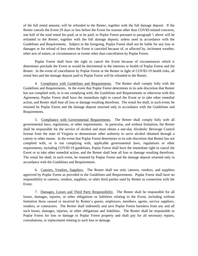of the full rental amount, will be refunded to the Renter, together with the full damage deposit. If the Renter cancels the Event 29 days or less before the Event for reasons other than COVID-related concerns, one half of the total rental fee paid, or to be paid, to Poplar Forest pursuant to paragraph 1 above will be refunded to the Renter, together with the full damage deposit, unless used in accordance with the Guidelines and Requirements. Subject to the foregoing, Poplar Forest shall not be liable for any loss or damages or for refund of fees when the Event is canceled because of, or affected by, inclement weather, other acts of nature, or circumstances or events other than cancellation by Poplar Forest.

Poplar Forest shall have the right to cancel the Event because of circumstances which it determines preclude the Event or would be detrimental to the interests or health of Poplar Forest and the Renter. In the event of cancellation by Poplar Forest or the Renter in light of COVID-19 health risks, all rental fees and the damage deposit paid to Poplar Forest will be refunded to the Renter.

4. Compliance with Guidelines and Requirements. The Renter shall comply fully with the Guidelines and Requirements. In the event that Poplar Forest determines in its sole discretion that Renter has not complied with, or is not complying with, the Guidelines and Requirements or otherwise with this Agreement, Poplar Forest shall have the immediate right to cancel the Event or to take other remedial action, and Renter shall bear all loss or damage resulting therefrom. The rental fee shall, in such event, be retained by Poplar Forest and the damage deposit returned only in accordance with the Guidelines and Requirements.

5. Compliance with Governmental Requirements. The Renter shall comply fully with all governmental laws, regulations, or other requirements. In particular, and without limitation, the Renter shall be responsible for the service of alcohol and must obtain a one-day Alcoholic Beverage Control license from the state of Virginia or demonstrate other authority to serve alcohol obtained through a caterer or other means. In the event that Poplar Forest determines in its sole discretion that Renter has not complied with, or is not complying with, applicable governmental laws, regulations or other requirements, including COVID-19 guidelines, Poplar Forest shall have the immediate right to cancel the Event or to take other remedial action, and the Renter shall bear all loss or damage resulting therefrom. The rental fee shall, in such event, be retained by Poplar Forest and the damage deposit returned only in accordance with the Guidelines and Requirements.

6. Caterers, Vendors, Suppliers. The Renter shall use only caterers, vendors, and suppliers approved by Poplar Forest as provided in the Guidelines and Requirements. Poplar Forest shall have no responsibility to caterers, vendors, suppliers, or other third parties used by Renter in connection with the Event.

7. Damages, Losses and Third Party Responsibility. The Renter shall be responsible for all losses, damages, injuries, or other obligations or liabilities relating to the Event, including without limitation those caused or incurred by Renter's guests, employees, members, agents, service suppliers, vendors, or contractors. The Renter shall indemnify and save Poplar Forest harmless from any and all such losses, damages, injuries, or other obligations and liabilities. The Renter shall be responsible to Poplar Forest for loss or damage to Poplar Forest property and shall pay for all necessary repairs, consultations, or replacement relating to such loss or damage.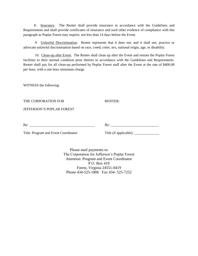8. Insurance. The Renter shall provide insurance in accordance with the Guidelines and Requirements and shall provide certificates of insurance and such other evidence of compliance with this paragraph as Poplar Forest may require, not less than 14 days before the Event.

9. Unlawful Discrimination. Renter represents that it does not, and it shall not, practice or advocate unlawful discrimination based on race, creed, color, sex, national origin, age, or disability.

10. Clean-up after Event. The Renter shall clean up after the Event and restore the Poplar Forest facilities to their normal condition prior thereto in accordance with the Guidelines and Requirements. Renter shall pay for all clean-up performed by Poplar Forest staff after the Event at the rate of \$400.00 per hour, with a one hour minimum charge.

WITNESS the following:

THE CORPORATION FOR RENTER:

JEFFERSON'S POPLAR FOREST

By: By: \_\_\_\_\_\_\_\_\_\_\_\_\_\_\_\_\_\_\_\_\_\_\_\_\_\_\_

Title: Program and Event Coordinator Title (if applicable): \_\_\_\_\_\_\_\_\_\_\_\_\_\_\_\_\_\_\_\_

Please mail payments to: The Corporation for Jefferson's Poplar Forest Attention: Program and Event Coordinator P.O. Box 419 Forest, Virginia 24551-0419 Phone 434-525-1806 Fax 434- 525-7252